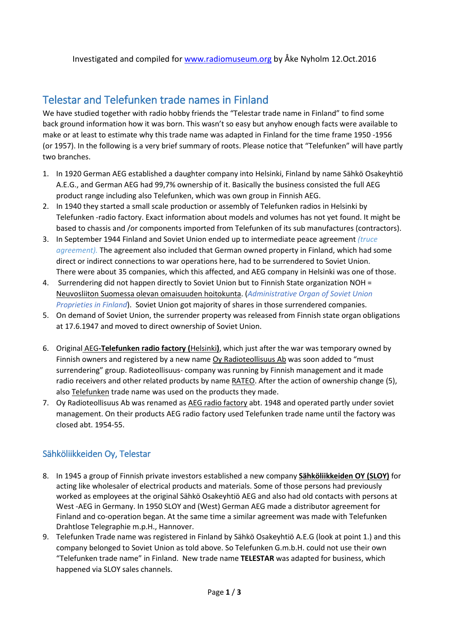## Telestar and Telefunken trade names in Finland

We have studied together with radio hobby friends the "Telestar trade name in Finland" to find some back ground information how it was born. This wasn't so easy but anyhow enough facts were available to make or at least to estimate why this trade name was adapted in Finland for the time frame 1950 -1956 (or 1957). In the following is a very brief summary of roots. Please notice that "Telefunken" will have partly two branches.

- 1. In 1920 German AEG established a daughter company into Helsinki, Finland by name Sähkö Osakeyhtiö A.E.G., and German AEG had 99,7% ownership of it. Basically the business consisted the full AEG product range including also Telefunken, which was own group in Finnish AEG.
- 2. In 1940 they started a small scale production or assembly of Telefunken radios in Helsinki by Telefunken -radio factory. Exact information about models and volumes has not yet found. It might be based to chassis and /or components imported from Telefunken of its sub manufactures (contractors).
- 3. In September 1944 Finland and Soviet Union ended up to intermediate peace agreement *(truce agreement).* The agreement also included that German owned property in Finland, which had some direct or indirect connections to war operations here, had to be surrendered to Soviet Union. There were about 35 companies, which this affected, and AEG company in Helsinki was one of those.
- 4. Surrendering did not happen directly to Soviet Union but to Finnish State organization NOH = Neuvosliiton Suomessa olevan omaisuuden hoitokunta. (*Administrative Organ of Soviet Union Proprieties in Finland*). Soviet Union got majority of shares in those surrendered companies.
- 5. On demand of Soviet Union, the surrender property was released from Finnish state organ obligations at 17.6.1947 and moved to direct ownership of Soviet Union.
- 6. Original AEG**-Telefunken radio factory (**Helsinki**)**, which just after the war was temporary owned by Finnish owners and registered by a new name Oy Radioteollisuus Ab was soon added to "must surrendering" group. Radioteollisuus- company was running by Finnish management and it made radio receivers and other related products by name RATEO. After the action of ownership change (5), also Telefunken trade name was used on the products they made.
- 7. Oy Radioteollisuus Ab was renamed as AEG radio factory abt. 1948 and operated partly under soviet management. On their products AEG radio factory used Telefunken trade name until the factory was closed abt. 1954-55.

## Sähköliikkeiden Oy, Telestar

- 8. In 1945 a group of Finnish private investors established a new company **Sähköliikkeiden OY (SLOY)** for acting like wholesaler of electrical products and materials. Some of those persons had previously worked as employees at the original Sähkö Osakeyhtiö AEG and also had old contacts with persons at West -AEG in Germany. In 1950 SLOY and (West) German AEG made a distributor agreement for Finland and co-operation began. At the same time a similar agreement was made with Telefunken Drahtlose Telegraphie m.p.H., Hannover.
- 9. Telefunken Trade name was registered in Finland by Sähkö Osakeyhtiö A.E.G (look at point 1.) and this company belonged to Soviet Union as told above. So Telefunken G.m.b.H. could not use their own "Telefunken trade name" in Finland. New trade name **TELESTAR** was adapted for business, which happened via SLOY sales channels.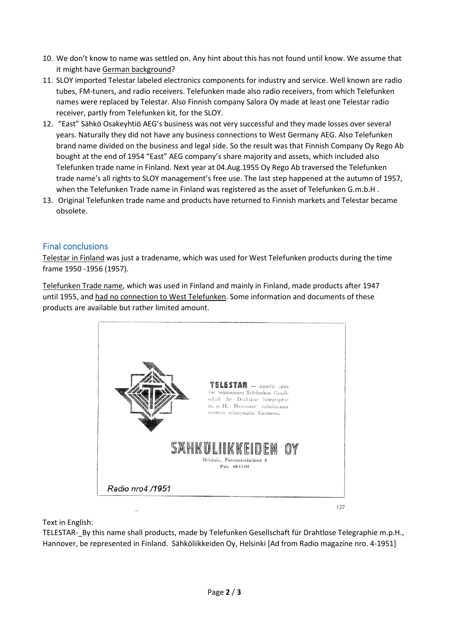- 10. We don't know to name was settled on. Any hint about this has not found until know. We assume that it might have German background?
- 11. SLOY imported Telestar labeled electronics components for industry and service. Well known are radio tubes, FM-tuners, and radio receivers. Telefunken made also radio receivers, from which Telefunken names were replaced by Telestar. Also Finnish company Salora Oy made at least one Telestar radio receiver, partly from Telefunken kit, for the SLOY.
- 12. "East" Sähkö Osakeyhtiö AEG's business was not very successful and they made losses over several years. Naturally they did not have any business connections to West Germany AEG. Also Telefunken brand name divided on the business and legal side. So the result was that Finnish Company Oy Rego Ab bought at the end of 1954 "East" AEG company's share majority and assets, which included also Telefunken trade name in Finland. Next year at 04.Aug.1955 Oy Rego Ab traversed the Telefunken trade name's all rights to SLOY management's free use. The last step happened at the autumn of 1957, when the Telefunken Trade name in Finland was registered as the asset of Telefunken G.m.b.H .
- 13. Original Telefunken trade name and products have returned to Finnish markets and Telestar became obsolete.

## Final conclusions

Telestar in Finland was just a tradename, which was used for West Telefunken products during the time frame 1950 -1956 (1957).

Telefunken Trade name, which was used in Finland and mainly in Finland, made products after 1947 until 1955, and had no connection to West Telefunken. Some information and documents of these products are available but rather limited amount.



Text in English:

TELESTAR-\_By this name shall products, made by Telefunken Gesellschaft für Drahtlose Telegraphie m.p.H., Hannover, be represented in Finland. Sähköliikkeiden Oy, Helsinki [Ad from Radio magazine nro. 4-1951]